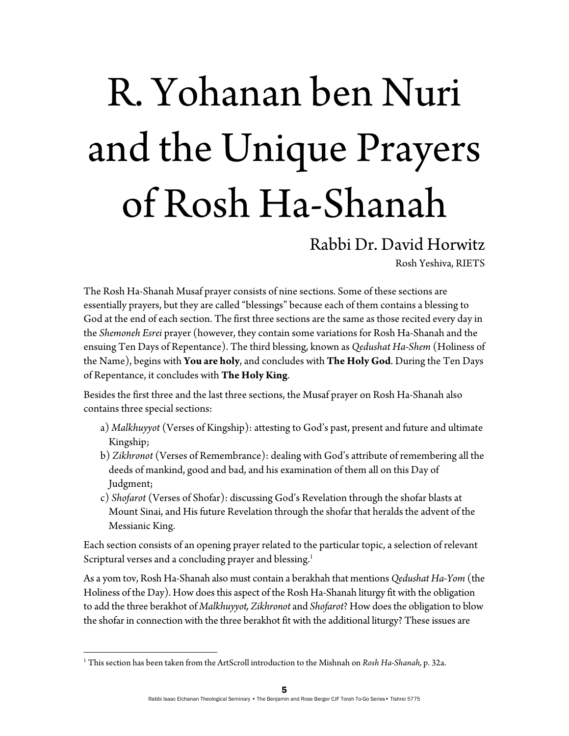## R. Yohanan ben Nuri and the Unique Prayers of Rosh Ha-Shanah

## Rabbi Dr. David Horwitz

Rosh Yeshiva, RIETS

The Rosh Ha-Shanah Musaf prayer consists of nine sections. Some of these sections are essentially prayers, but they are called "blessings" because each of them contains a blessing to God at the end of each section. The first three sections are the same as those recited every day in the *Shemoneh Esrei* prayer (however, they contain some variations for Rosh Ha-Shanah and the ensuing Ten Days of Repentance). The third blessing, known as *Qedushat Ha-Shem* (Holiness of the Name), begins with **You are holy**, and concludes with **The Holy God**. During the Ten Days of Repentance, it concludes with **The Holy King**.

Besides the first three and the last three sections, the Musaf prayer on Rosh Ha-Shanah also contains three special sections:

- a) *Malkhuyyot* (Verses of Kingship): attesting to God's past, present and future and ultimate Kingship;
- b) *Zikhronot* (Verses of Remembrance): dealing with God's attribute of remembering all the deeds of mankind, good and bad, and his examination of them all on this Day of Judgment;
- c) *Shofarot* (Verses of Shofar): discussing God's Revelation through the shofar blasts at Mount Sinai, and His future Revelation through the shofar that heralds the advent of the Messianic King.

Each section consists of an opening prayer related to the particular topic, a selection of relevant Scriptural verses and a concluding prayer and blessing.<sup>1</sup>

As a yom tov, Rosh Ha-Shanah also must contain a berakhah that mentions *Qedushat Ha-Yom* (the Holiness of the Day). How does this aspect of the Rosh Ha-Shanah liturgy fit with the obligation to add the three berakhot of *Malkhuyyot, Zikhronot* and *Shofarot*? How does the obligation to blow the shofar in connection with the three berakhot fit with the additional liturgy? These issues are

<sup>1</sup> This section has been taken from the ArtScroll introduction to the Mishnah on *Rosh Ha-Shanah,* p. 32a.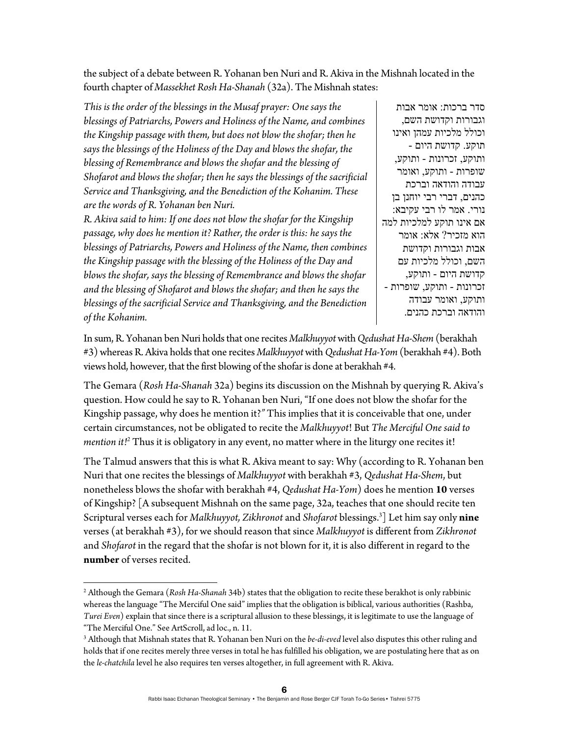the subject of a debate between R. Yohanan ben Nuri and R. Akiva in the Mishnah located in the fourth chapter of *Massekhet Rosh Ha-Shanah* (32a). The Mishnah states:

*This is the order of the blessings in the Musaf prayer: One says the blessings of Patriarchs, Powers and Holiness of the Name, and combines the Kingship passage with them, but does not blow the shofar; then he says the blessings of the Holiness of the Day and blows the shofar, the blessing of Remembrance and blows the shofar and the blessing of Shofarot and blows the shofar; then he says the blessings of the sacrificial Service and Thanksgiving, and the Benediction of the Kohanim. These are the words of R. Yohanan ben Nuri.* 

*R. Akiva said to him: If one does not blow the shofar for the Kingship passage, why does he mention it? Rather, the order is this: he says the blessings of Patriarchs, Powers and Holiness of the Name, then combines the Kingship passage with the blessing of the Holiness of the Day and blows the shofar, says the blessing of Remembrance and blows the shofar and the blessing of Shofarot and blows the shofar; and then he says the blessings of the sacrificial Service and Thanksgiving, and the Benediction of the Kohanim.*

סדר ברכות: אומר אבות וגבורות וקדושת השם, וכולל מלכיות עמהן ואינו תוקע. קדושת היום - ותוקע, זכרונות - ותוקע, שופרות - ותוקע, ואומר עבודה והודאה וברכת כהנים, דברי רבי יוחנן בן נורי. אמר לו רבי עקיבא: אם אינו תוקע למלכיות למה הוא מזכיר? אלא: אומר אבות וגבורות וקדושת השם, וכולל מלכיות עם קדושת היום - ותוקע, זכרונות - ותוקע, שופרות - ותוקע, ואומר עבודה והודאה וברכת כהנים.

In sum, R. Yohanan ben Nuri holds that one recites *Malkhuyyot* with *Qedushat Ha-Shem* (berakhah #3) whereas R. Akiva holds that one recites *Malkhuyyot* with *Qedushat Ha-Yom* (berakhah #4). Both views hold, however, that the first blowing of the shofar is done at berakhah #4.

The Gemara (*Rosh Ha-Shanah* 32a) begins its discussion on the Mishnah by querying R. Akiva's question. How could he say to R. Yohanan ben Nuri, "If one does not blow the shofar for the Kingship passage, why does he mention it?*"* This implies that it is conceivable that one, under certain circumstances, not be obligated to recite the *Malkhuyyot*! But *The Merciful One said to mention it!2* Thus it is obligatory in any event, no matter where in the liturgy one recites it!

The Talmud answers that this is what R. Akiva meant to say: Why (according to R. Yohanan ben Nuri that one recites the blessings of *Malkhuyyot* with berakhah #3, *Qedushat Ha-Shem*, but nonetheless blows the shofar with berakhah #4, *Qedushat Ha-Yom*) does he mention **10** verses of Kingship? [A subsequent Mishnah on the same page, 32a, teaches that one should recite ten Scriptural verses each for *Malkhuyyot, Zikhronot* and *Shofarot* blessings.3 ] Let him say only **nine** verses (at berakhah #3), for we should reason that since *Malkhuyyot* is different from *Zikhronot*  and *Shofarot* in the regard that the shofar is not blown for it, it is also different in regard to the **number** of verses recited.

<sup>2</sup> Although the Gemara (*Rosh Ha-Shanah* 34b) states that the obligation to recite these berakhot is only rabbinic whereas the language "The Merciful One said" implies that the obligation is biblical, various authorities (Rashba, *Turei Even*) explain that since there is a scriptural allusion to these blessings, it is legitimate to use the language of "The Merciful One." See ArtScroll, ad loc., n. 11.

<sup>3</sup> Although that Mishnah states that R. Yohanan ben Nuri on the *be-di-eved* level also disputes this other ruling and holds that if one recites merely three verses in total he has fulfilled his obligation, we are postulating here that as on the *le-chatchila* level he also requires ten verses altogether, in full agreement with R. Akiva.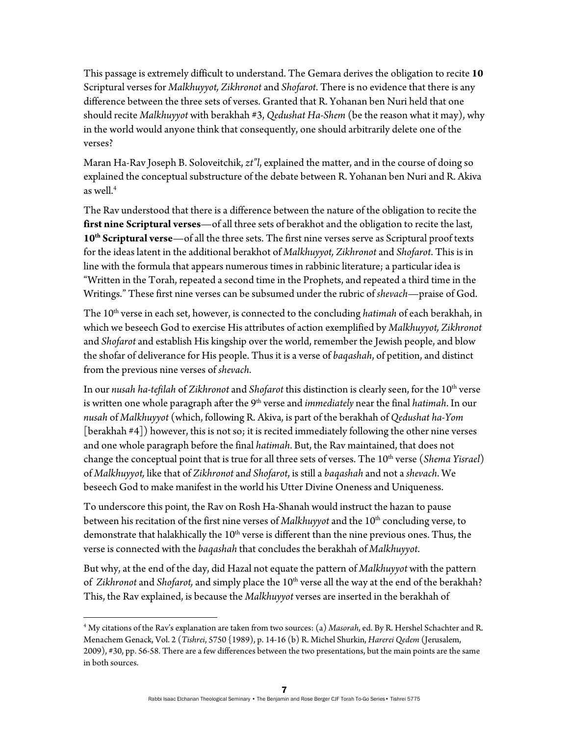This passage is extremely difficult to understand. The Gemara derives the obligation to recite **10** Scriptural verses for *Malkhuyyot, Zikhronot* and *Shofarot*. There is no evidence that there is any difference between the three sets of verses. Granted that R. Yohanan ben Nuri held that one should recite *Malkhuyyot* with berakhah #3, *Qedushat Ha-Shem* (be the reason what it may), why in the world would anyone think that consequently, one should arbitrarily delete one of the verses?

Maran Ha-Rav Joseph B. Soloveitchik, *zt"l*, explained the matter, and in the course of doing so explained the conceptual substructure of the debate between R. Yohanan ben Nuri and R. Akiva as well.<sup>4</sup>

The Rav understood that there is a difference between the nature of the obligation to recite the **first nine Scriptural verses**—of all three sets of berakhot and the obligation to recite the last, 10<sup>th</sup> Scriptural verse—of all the three sets. The first nine verses serve as Scriptural proof texts for the ideas latent in the additional berakhot of *Malkhuyyot, Zikhronot* and *Shofarot*. This is in line with the formula that appears numerous times in rabbinic literature; a particular idea is "Written in the Torah, repeated a second time in the Prophets, and repeated a third time in the Writings." These first nine verses can be subsumed under the rubric of *shevach*—praise of God.

The 10<sup>th</sup> verse in each set, however, is connected to the concluding *hatimah* of each berakhah, in which we beseech God to exercise His attributes of action exemplified by *Malkhuyyot, Zikhronot*  and *Shofarot* and establish His kingship over the world, remember the Jewish people, and blow the shofar of deliverance for His people. Thus it is a verse of *baqashah*, of petition, and distinct from the previous nine verses of *shevach*.

In our *nusah ha-tefilah* of *Zikhronot* and *Shofarot* this distinction is clearly seen, for the 10th verse is written one whole paragraph after the 9<sup>th</sup> verse and *immediately* near the final *hatimah*. In our *nusah* of *Malkhuyyot* (which, following R. Akiva, is part of the berakhah of *Qedushat ha-Yom* [berakhah #4]) however, this is not so; it is recited immediately following the other nine verses and one whole paragraph before the final *hatimah*. But, the Rav maintained, that does not change the conceptual point that is true for all three sets of verses. The 10<sup>th</sup> verse (*Shema Yisrael*) of *Malkhuyyot,* like that of *Zikhronot* an*d Shofarot*, is still a *baqashah* and not a *shevach*. We beseech God to make manifest in the world his Utter Divine Oneness and Uniqueness.

To underscore this point, the Rav on Rosh Ha-Shanah would instruct the hazan to pause between his recitation of the first nine verses of *Malkhuyyot* and the 10<sup>th</sup> concluding verse, to demonstrate that halakhically the  $10<sup>th</sup>$  verse is different than the nine previous ones. Thus, the verse is connected with the *baqashah* that concludes the berakhah of *Malkhuyyot*.

But why, at the end of the day, did Hazal not equate the pattern of *Malkhuyyot* with the pattern of *Zikhronot* and *Shofarot*, and simply place the 10<sup>th</sup> verse all the way at the end of the berakhah? This, the Rav explained, is because the *Malkhuyyot* verses are inserted in the berakhah of

<sup>4</sup> My citations of the Rav's explanation are taken from two sources: (a) *Masorah*, ed. By R. Hershel Schachter and R. Menachem Genack, Vol. 2 (*Tishrei*, 5750 {1989), p. 14-16 (b) R. Michel Shurkin, *Harerei Qedem* (Jerusalem, 2009), #30, pp. 56-58. There are a few differences between the two presentations, but the main points are the same in both sources.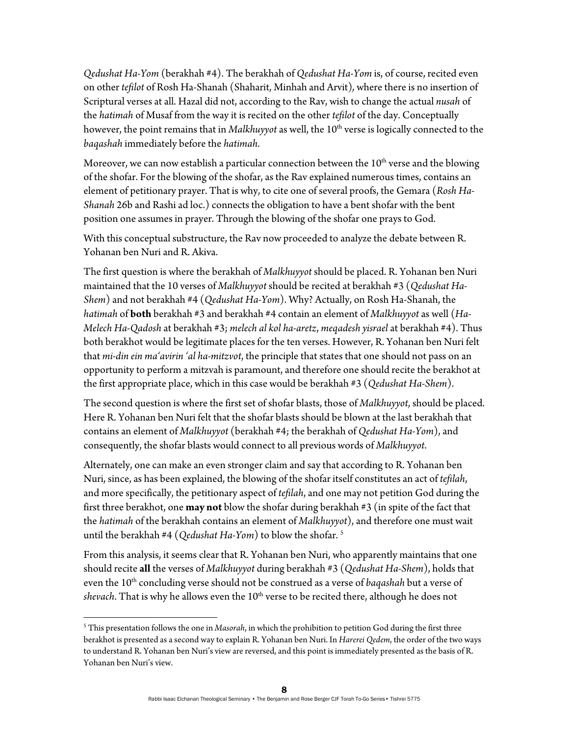*Qedushat Ha-Yom* (berakhah #4). The berakhah of *Qedushat Ha-Yom* is, of course, recited even on other *tefilot* of Rosh Ha-Shanah (Shaharit, Minhah and Arvit)*,* where there is no insertion of Scriptural verses at all. Hazal did not, according to the Rav, wish to change the actual *nusah* of the *hatimah* of Musaf from the way it is recited on the other *tefilot* of the day. Conceptually however, the point remains that in *Malkhuyyot* as well, the 10<sup>th</sup> verse is logically connected to the *baqashah* immediately before the *hatimah*.

Moreover, we can now establish a particular connection between the  $10<sup>th</sup>$  verse and the blowing of the shofar. For the blowing of the shofar, as the Rav explained numerous times, contains an element of petitionary prayer. That is why, to cite one of several proofs, the Gemara (*Rosh Ha-Shanah* 26b and Rashi ad loc.) connects the obligation to have a bent shofar with the bent position one assumes in prayer. Through the blowing of the shofar one prays to God.

With this conceptual substructure, the Rav now proceeded to analyze the debate between R. Yohanan ben Nuri and R. Akiva.

The first question is where the berakhah of *Malkhuyyot* should be placed. R. Yohanan ben Nuri maintained that the 10 verses of *Malkhuyyot* should be recited at berakhah #3 (*Qedushat Ha-Shem*) and not berakhah #4 (*Qedushat Ha-Yom*). Why? Actually, on Rosh Ha-Shanah, the *hatimah* of **both** berakhah #3 and berakhah #4 contain an element of *Malkhuyyot* as well (*Ha-Melech Ha-Qadosh* at berakhah #3; *melech al kol ha-aretz*, *meqadesh yisrael* at berakhah #4). Thus both berakhot would be legitimate places for the ten verses. However, R. Yohanan ben Nuri felt that *mi-din ein ma'avirin 'al ha-mitzvot*, the principle that states that one should not pass on an opportunity to perform a mitzvah is paramount, and therefore one should recite the berakhot at the first appropriate place, which in this case would be berakhah #3 (*Qedushat Ha*-*Shem*).

The second question is where the first set of shofar blasts, those of *Malkhuyyot*, should be placed. Here R. Yohanan ben Nuri felt that the shofar blasts should be blown at the last berakhah that contains an element of *Malkhuyyot* (berakhah #4; the berakhah of *Qedushat Ha-Yom*), and consequently, the shofar blasts would connect to all previous words of *Malkhuyyot*.

Alternately, one can make an even stronger claim and say that according to R. Yohanan ben Nuri, since, as has been explained, the blowing of the shofar itself constitutes an act of *tefilah*, and more specifically, the petitionary aspect of *tefilah*, and one may not petition God during the first three berakhot, one **may not** blow the shofar during berakhah #3 (in spite of the fact that the *hatimah* of the berakhah contains an element of *Malkhuyyot*), and therefore one must wait until the berakhah #4 (*Qedushat Ha-Yom*) to blow the shofar. 5

From this analysis, it seems clear that R. Yohanan ben Nuri, who apparently maintains that one should recite **all** the verses of *Malkhuyyot* during berakhah #3 (*Qedushat Ha-Shem*), holds that even the 10th concluding verse should not be construed as a verse of *baqashah* but a verse of *shevach*. That is why he allows even the 10<sup>th</sup> verse to be recited there, although he does not

<sup>5</sup> This presentation follows the one in *Masorah*, in which the prohibition to petition God during the first three berakhot is presented as a second way to explain R. Yohanan ben Nuri. In *Harerei Qedem*, the order of the two ways to understand R. Yohanan ben Nuri's view are reversed, and this point is immediately presented as the basis of R. Yohanan ben Nuri's view.